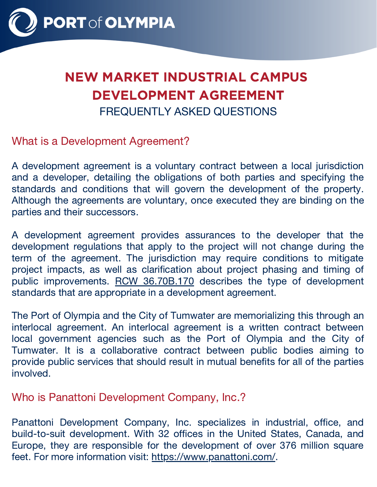

# NEW MARKET INDUSTRIAL CAMPUS DEVELOPMENT AGREEMENT FREQUENTLY ASKED QUESTIONS

What is a Development Agreement?

A development agreement is a voluntary contract between a local jurisdiction and a developer, detailing the obligations of both parties and specifying the standards and conditions that will govern the development of the property. Although the agreements are voluntary, once executed they are binding on the parties and their successors.

A development agreement provides assurances to the developer that the development regulations that apply to the project will not change during the term of the agreement. The jurisdiction may require conditions to mitigate project impacts, as well as clarification about project phasing and timing of public improvements. RCW [36.70B.170](https://app.leg.wa.gov/rcw/default.aspx?cite=36.70B.170) describes the type of development standards that are appropriate in a development agreement.

The Port of Olympia and the City of Tumwater are memorializing this through an interlocal agreement. An interlocal agreement is a written contract between local government agencies such as the Port of Olympia and the City of Tumwater. It is a collaborative contract between public bodies aiming to provide public services that should result in mutual benefits for all of the parties involved.

Who is Panattoni Development Company, Inc.?

Panattoni Development Company, Inc. specializes in industrial, office, and build-to-suit development. With 32 offices in the United States, Canada, and Europe, they are responsible for the development of over 376 million square feet. For more information visit: <https://www.panattoni.com/>.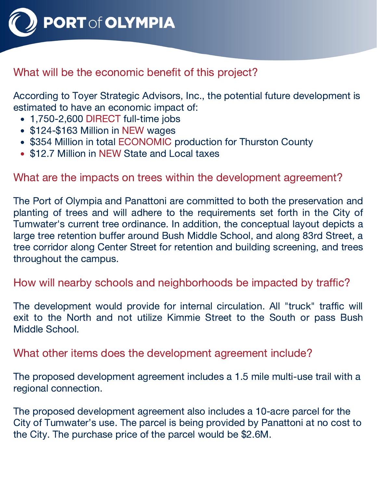

## What will be the economic benefit of this project?

According to Toyer Strategic Advisors, Inc., the potential future development is estimated to have an economic impact of:

- 1,750-2,600 DIRECT full-time jobs
- \$124-\$163 Million in NEW wages
- \$354 Million in total ECONOMIC production for Thurston County
- \$12.7 Million in NEW State and Local taxes

### What are the impacts on trees within the development agreement?

The Port of Olympia and Panattoni are committed to both the preservation and planting of trees and will adhere to the requirements set forth in the City of Tumwater's current tree ordinance. In addition, the conceptual layout depicts a large tree retention buffer around Bush Middle School, and along 83rd Street, a tree corridor along Center Street for retention and building screening, and trees throughout the campus.

#### How will nearby schools and neighborhoods be impacted by traffic?

The development would provide for internal circulation. All "truck" traffic will exit to the North and not utilize Kimmie Street to the South or pass Bush Middle School.

What other items does the development agreement include?

The proposed development agreement includes a 1.5 mile multi-use trail with a regional connection.

The proposed development agreement also includes a 10-acre parcel for the City of Tumwater's use. The parcel is being provided by Panattoni at no cost to the City. The purchase price of the parcel would be \$2.6M.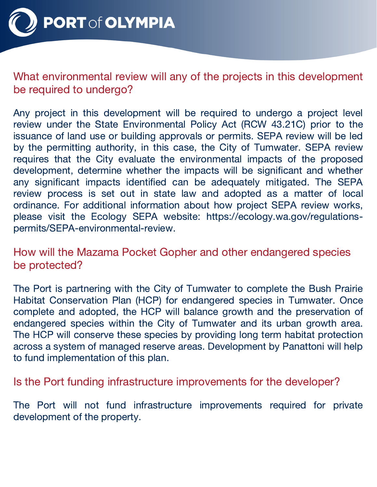

**PORT of OLYMPIA** 

What environmental review will any of the projects in this development be required to undergo?

Any project in this development will be required to undergo a project level review under the State Environmental Policy Act (RCW [43.21C\)](https://app.leg.wa.gov/rcw/default.aspx?cite=43.21c) prior to the issuance of land use or building approvals or permits. SEPA review will be led by the permitting authority, in this case, the City of Tumwater. SEPA review requires that the City evaluate the environmental impacts of the proposed development, determine whether the impacts will be significant and whether any significant impacts identified can be adequately mitigated. The SEPA review process is set out in state law and adopted as a matter of local ordinance. For additional information about how project SEPA review works, please visit the Ecology SEPA website: https://ecology.wa.gov/regulations[permits/SEPA-environmental-review.](https://ecology.wa.gov/regulations-permits/SEPA-environmental-review)

How will the Mazama Pocket Gopher and other endangered species be protected?

The Port is partnering with the City of Tumwater to complete the Bush Prairie Habitat Conservation Plan (HCP) for endangered species in Tumwater. Once complete and adopted, the HCP will balance growth and the preservation of endangered species within the City of Tumwater and its urban growth area. The HCP will conserve these species by providing long term habitat protection across a system of managed reserve areas. Development by Panattoni will help to fund implementation of this plan.

Is the Port funding infrastructure improvements for the developer?

The Port will not fund infrastructure improvements required for private development of the property.